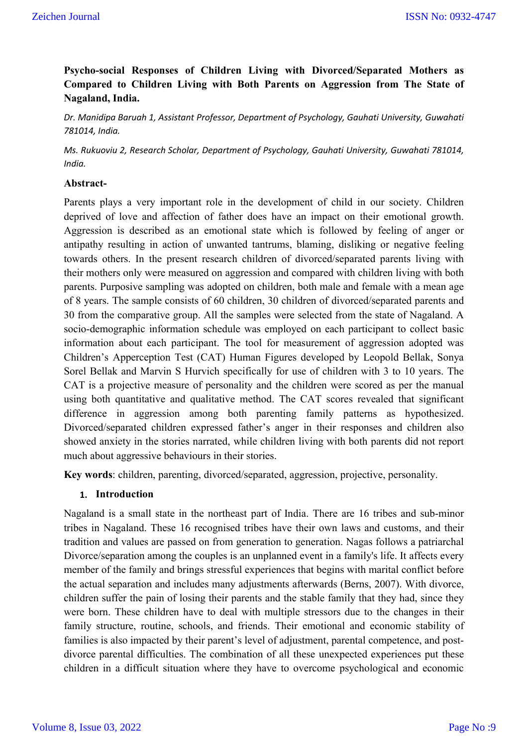# **Psycho-social Responses of Children Living with Divorced/Separated Mothers as Compared to Children Living with Both Parents on Aggression from The State of Nagaland, India.**

*Dr. Manidipa Baruah 1, Assistant Professor, Department of Psychology, Gauhati University, Guwahati 781014, India.*

*Ms. Rukuoviu 2, Research Scholar, Department of Psychology, Gauhati University, Guwahati 781014, India.*

### **Abstract-**

Parents plays a very important role in the development of child in our society. Children deprived of love and affection of father does have an impact on their emotional growth. Aggression is described as an emotional state which is followed by feeling of anger or antipathy resulting in action of unwanted tantrums, blaming, disliking or negative feeling towards others. In the present research children of divorced/separated parents living with their mothers only were measured on aggression and compared with children living with both parents. Purposive sampling was adopted on children, both male and female with a mean age of 8 years. The sample consists of 60 children, 30 children of divorced/separated parents and 30 from the comparative group. All the samples were selected from the state of Nagaland. A socio-demographic information schedule was employed on each participant to collect basic information about each participant. The tool for measurement of aggression adopted was Children's Apperception Test (CAT) Human Figures developed by Leopold Bellak, Sonya Sorel Bellak and Marvin S Hurvich specifically for use of children with 3 to 10 years. The CAT is a projective measure of personality and the children were scored as per the manual using both quantitative and qualitative method. The CAT scores revealed that significant difference in aggression among both parenting family patterns as hypothesized. Divorced/separated children expressed father's anger in their responses and children also showed anxiety in the stories narrated, while children living with both parents did not report much about aggressive behaviours in their stories.

**Key words**: children, parenting, divorced/separated, aggression, projective, personality.

### **1. Introduction**

Nagaland is a small state in the northeast part of India. There are 16 tribes and sub-minor tribes in Nagaland. These 16 recognised tribes have their own laws and customs, and their tradition and values are passed on from generation to generation. Nagas follows a patriarchal Divorce/separation among the couples is an unplanned event in a family's life. It affects every member of the family and brings stressful experiences that begins with marital conflict before the actual separation and includes many adjustments afterwards (Berns, 2007). With divorce, children suffer the pain of losing their parents and the stable family that they had, since they were born. These children have to deal with multiple stressors due to the changes in their family structure, routine, schools, and friends. Their emotional and economic stability of families is also impacted by their parent's level of adjustment, parental competence, and postdivorce parental difficulties. The combination of all these unexpected experiences put these children in a difficult situation where they have to overcome psychological and economic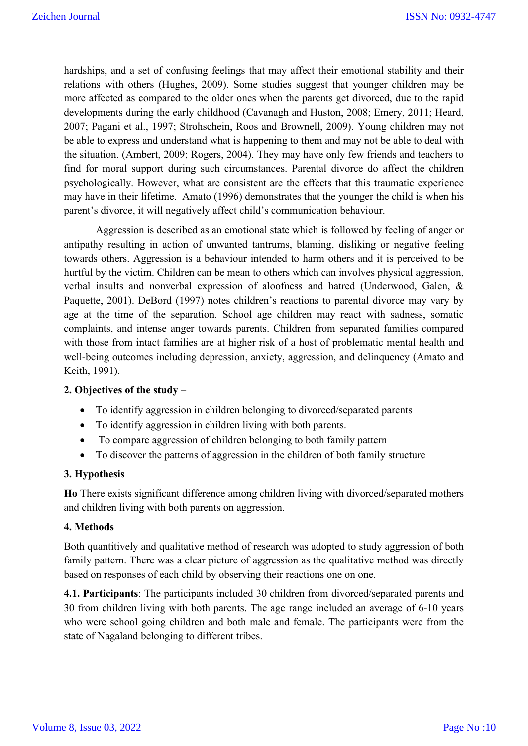hardships, and a set of confusing feelings that may affect their emotional stability and their relations with others (Hughes, 2009). Some studies suggest that younger children may be more affected as compared to the older ones when the parents get divorced, due to the rapid developments during the early childhood (Cavanagh and Huston, 2008; Emery, 2011; Heard, 2007; Pagani et al., 1997; Strohschein, Roos and Brownell, 2009). Young children may not be able to express and understand what is happening to them and may not be able to deal with the situation. (Ambert, 2009; Rogers, 2004). They may have only few friends and teachers to find for moral support during such circumstances. Parental divorce do affect the children psychologically. However, what are consistent are the effects that this traumatic experience may have in their lifetime. Amato (1996) demonstrates that the younger the child is when his parent's divorce, it will negatively affect child's communication behaviour.

Aggression is described as an emotional state which is followed by feeling of anger or antipathy resulting in action of unwanted tantrums, blaming, disliking or negative feeling towards others. Aggression is a behaviour intended to harm others and it is perceived to be hurtful by the victim. Children can be mean to others which can involves physical aggression, verbal insults and nonverbal expression of aloofness and hatred (Underwood, Galen, & Paquette, 2001). DeBord (1997) notes children's reactions to parental divorce may vary by age at the time of the separation. School age children may react with sadness, somatic complaints, and intense anger towards parents. Children from separated families compared with those from intact families are at higher risk of a host of problematic mental health and well-being outcomes including depression, anxiety, aggression, and delinquency (Amato and Keith, 1991).

### **2. Objectives of the study –**

- To identify aggression in children belonging to divorced/separated parents
- To identify aggression in children living with both parents.
- To compare aggression of children belonging to both family pattern
- To discover the patterns of aggression in the children of both family structure

### **3. Hypothesis**

**Ho** There exists significant difference among children living with divorced/separated mothers and children living with both parents on aggression.

### **4. Methods**

Both quantitively and qualitative method of research was adopted to study aggression of both family pattern. There was a clear picture of aggression as the qualitative method was directly based on responses of each child by observing their reactions one on one.

**4.1. Participants**: The participants included 30 children from divorced/separated parents and 30 from children living with both parents. The age range included an average of 6-10 years who were school going children and both male and female. The participants were from the state of Nagaland belonging to different tribes.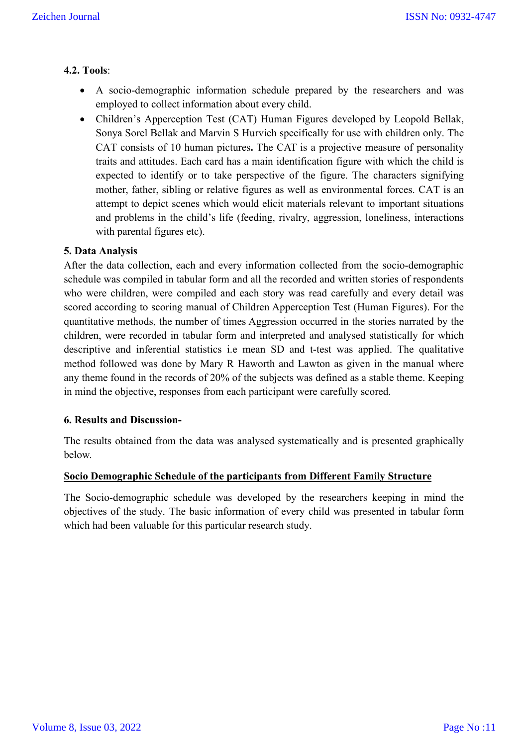## **4.2. Tools**:

- A socio-demographic information schedule prepared by the researchers and was employed to collect information about every child.
- Children's Apperception Test (CAT) Human Figures developed by Leopold Bellak, Sonya Sorel Bellak and Marvin S Hurvich specifically for use with children only. The CAT consists of 10 human pictures**.** The CAT is a projective measure of personality traits and attitudes. Each card has a main identification figure with which the child is expected to identify or to take perspective of the figure. The characters signifying mother, father, sibling or relative figures as well as environmental forces. CAT is an attempt to depict scenes which would elicit materials relevant to important situations and problems in the child's life (feeding, rivalry, aggression, loneliness, interactions with parental figures etc).

## **5. Data Analysis**

After the data collection, each and every information collected from the socio-demographic schedule was compiled in tabular form and all the recorded and written stories of respondents who were children, were compiled and each story was read carefully and every detail was scored according to scoring manual of Children Apperception Test (Human Figures). For the quantitative methods, the number of times Aggression occurred in the stories narrated by the children, were recorded in tabular form and interpreted and analysed statistically for which descriptive and inferential statistics i.e mean SD and t-test was applied. The qualitative method followed was done by Mary R Haworth and Lawton as given in the manual where any theme found in the records of 20% of the subjects was defined as a stable theme. Keeping in mind the objective, responses from each participant were carefully scored.

### **6. Results and Discussion-**

The results obtained from the data was analysed systematically and is presented graphically below.

### **Socio Demographic Schedule of the participants from Different Family Structure**

The Socio-demographic schedule was developed by the researchers keeping in mind the objectives of the study. The basic information of every child was presented in tabular form which had been valuable for this particular research study.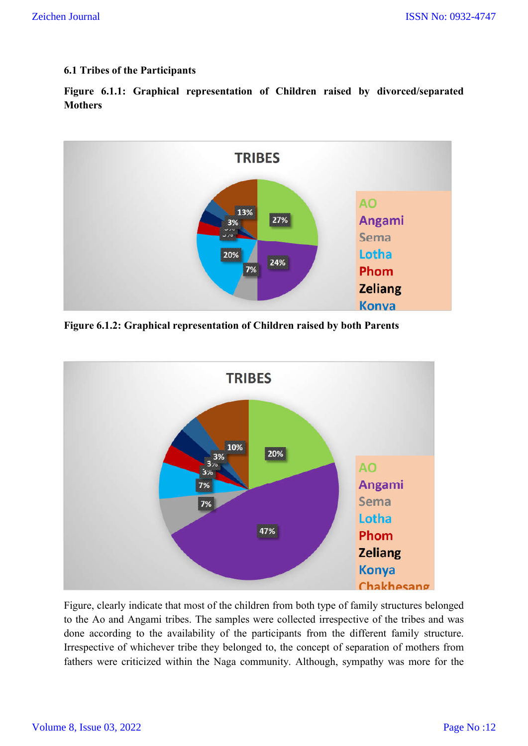## **6.1 Tribes of the Participants**

**Figure 6.1.1: Graphical representation of Children raised by divorced/separated Mothers**



**Figure 6.1.2: Graphical representation of Children raised by both Parents**



Figure, clearly indicate that most of the children from both type of family structures belonged to the Ao and Angami tribes. The samples were collected irrespective of the tribes and was done according to the availability of the participants from the different family structure. Irrespective of whichever tribe they belonged to, the concept of separation of mothers from fathers were criticized within the Naga community. Although, sympathy was more for the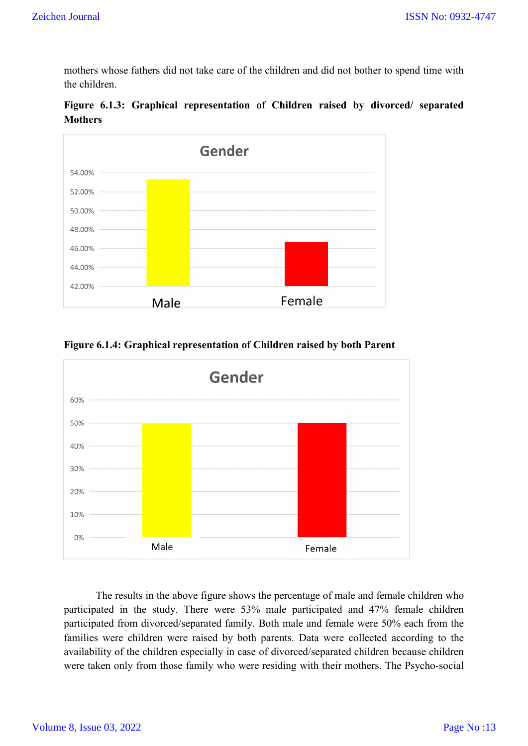mothers whose fathers did not take care of the children and did not bother to spend time with the children.





Gender 60% 50% 40% 30% 20% 10%  $0%$ Male Female

**Figure 6.1.4: Graphical representation of Children raised by both Parent**

The results in the above figure shows the percentage of male and female children who participated in the study. There were 53% male participated and 47% female children participated from divorced/separated family. Both male and female were 50% each from the families were children were raised by both parents. Data were collected according to the availability of the children especially in case of divorced/separated children because children were taken only from those family who were residing with their mothers. The Psycho-social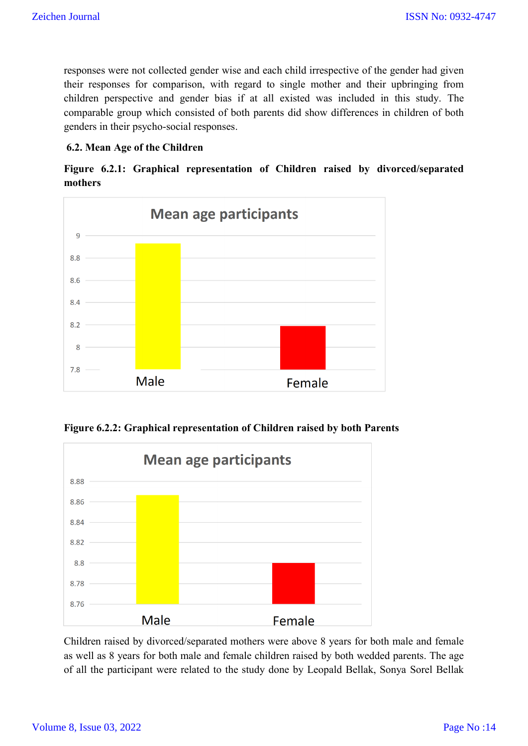responses were not collected gender wise and each child irrespective of the gender had given their responses for comparison, with regard to single mother and their upbringing from children perspective and gender bias if at all existed was included in this study. The comparable group which consisted of both parents did show differences in children of both genders in their psycho-social responses.

## **6.2. Mean Age of the Children**

**Figure 6.2.1: Graphical representation of Children raised by divorced/separated mothers**



**Figure 6.2.2: Graphical representation of Children raised by both Parents**



Children raised by divorced/separated mothers were above 8 years for both male and female as well as 8 years for both male and female children raised by both wedded parents. The age of all the participant were related to the study done by Leopald Bellak, Sonya Sorel Bellak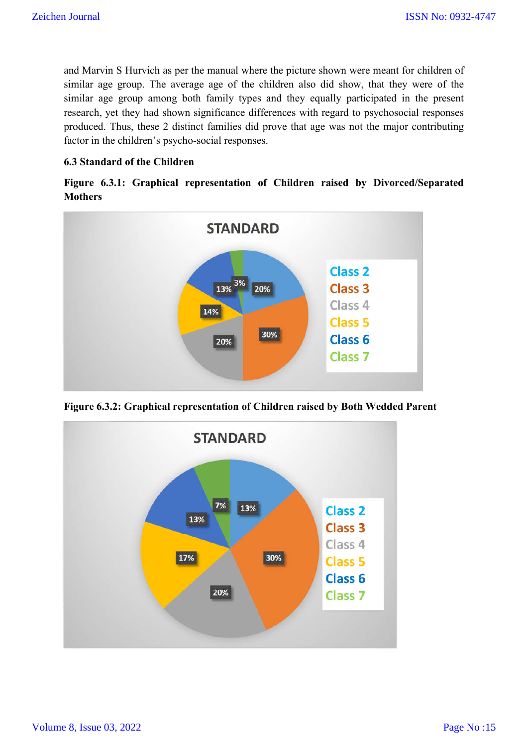and Marvin S Hurvich as per the manual where the picture shown were meant for children of similar age group. The average age of the children also did show, that they were of the similar age group among both family types and they equally participated in the present research, yet they had shown significance differences with regard to psychosocial responses produced. Thus, these 2 distinct families did prove that age was not the major contributing factor in the children's psycho-social responses.

## **6.3 Standard of the Children**

|                |  |  |  | Figure 6.3.1: Graphical representation of Children raised by Divorced/Separated |
|----------------|--|--|--|---------------------------------------------------------------------------------|
| <b>Mothers</b> |  |  |  |                                                                                 |



**Figure 6.3.2: Graphical representation of Children raised by Both Wedded Parent**

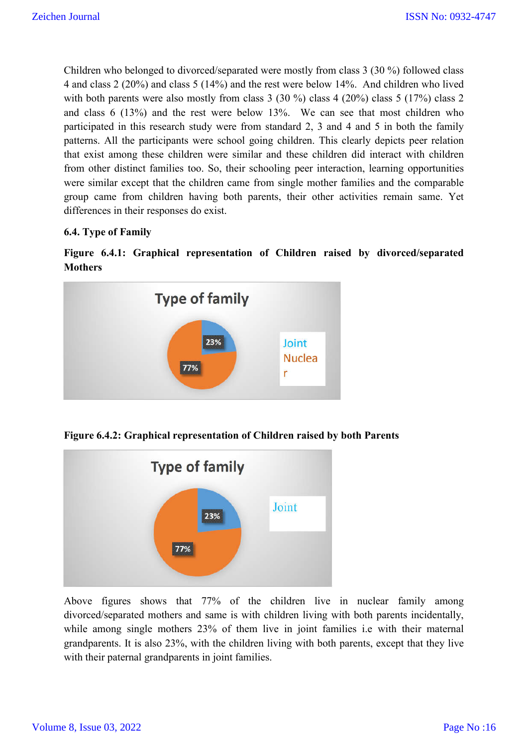Children who belonged to divorced/separated were mostly from class 3 (30 %) followed class 4 and class 2 (20%) and class 5 (14%) and the rest were below 14%. And children who lived with both parents were also mostly from class 3 (30 %) class 4 (20%) class 5 (17%) class 2 and class 6 (13%) and the rest were below 13%. We can see that most children who participated in this research study were from standard 2, 3 and 4 and 5 in both the family patterns. All the participants were school going children. This clearly depicts peer relation that exist among these children were similar and these children did interact with children from other distinct families too. So, their schooling peer interaction, learning opportunities were similar except that the children came from single mother families and the comparable group came from children having both parents, their other activities remain same. Yet differences in their responses do exist.

## **6.4. Type of Family**





**Figure 6.4.2: Graphical representation of Children raised by both Parents**



Above figures shows that 77% of the children live in nuclear family among divorced/separated mothers and same is with children living with both parents incidentally, while among single mothers 23% of them live in joint families i.e with their maternal grandparents. It is also 23%, with the children living with both parents, except that they live with their paternal grandparents in joint families.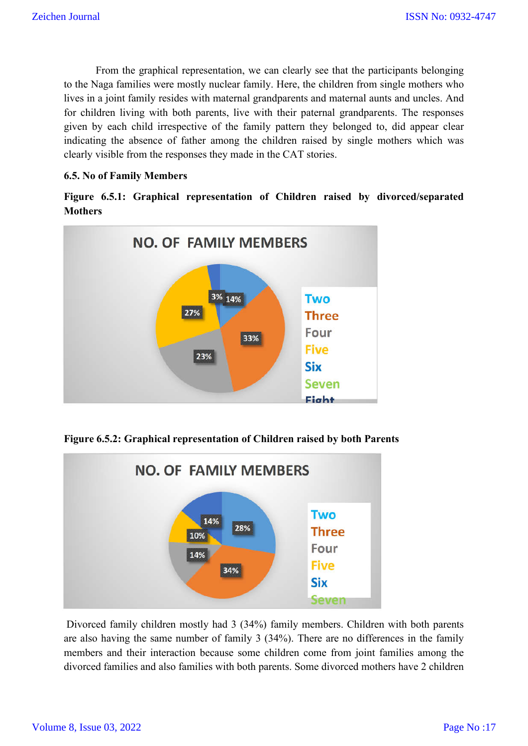From the graphical representation, we can clearly see that the participants belonging to the Naga families were mostly nuclear family. Here, the children from single mothers who lives in a joint family resides with maternal grandparents and maternal aunts and uncles. And for children living with both parents, live with their paternal grandparents. The responses given by each child irrespective of the family pattern they belonged to, did appear clear indicating the absence of father among the children raised by single mothers which was clearly visible from the responses they made in the CAT stories.

## **6.5. No of Family Members**

**Figure 6.5.1: Graphical representation of Children raised by divorced/separated Mothers**



**Figure 6.5.2: Graphical representation of Children raised by both Parents**



Divorced family children mostly had 3 (34%) family members. Children with both parents are also having the same number of family 3 (34%). There are no differences in the family members and their interaction because some children come from joint families among the divorced families and also families with both parents. Some divorced mothers have 2 children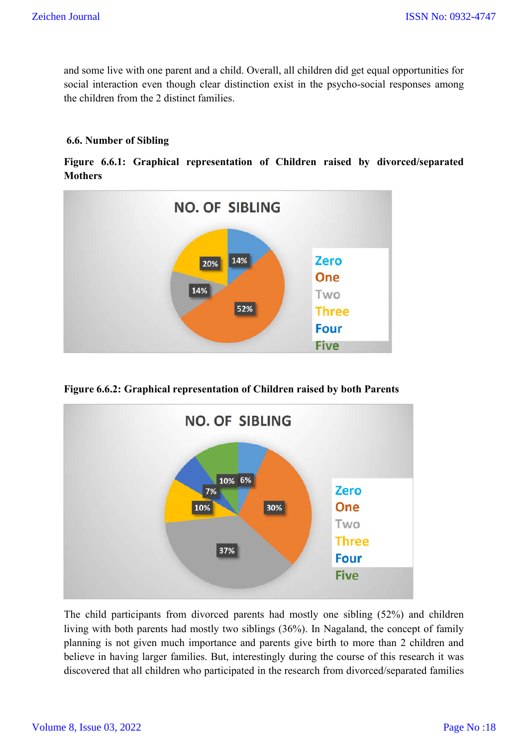and some live with one parent and a child. Overall, all children did get equal opportunities for social interaction even though clear distinction exist in the psycho-social responses among the children from the 2 distinct families.

## **6.6. Number of Sibling**

**Figure 6.6.1: Graphical representation of Children raised by divorced/separated Mothers**



**Figure 6.6.2: Graphical representation of Children raised by both Parents**



The child participants from divorced parents had mostly one sibling (52%) and children living with both parents had mostly two siblings (36%). In Nagaland, the concept of family planning is not given much importance and parents give birth to more than 2 children and believe in having larger families. But, interestingly during the course of this research it was discovered that all children who participated in the research from divorced/separated families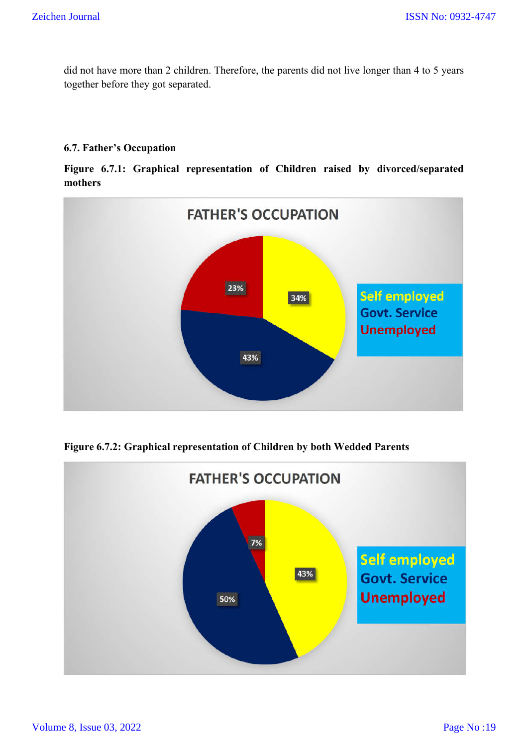did not have more than 2 children. Therefore, the parents did not live longer than 4 to 5 years together before they got separated.

## **6.7. Father's Occupation**

**Figure 6.7.1: Graphical representation of Children raised by divorced/separated mothers**



**Figure 6.7.2: Graphical representation of Children by both Wedded Parents**

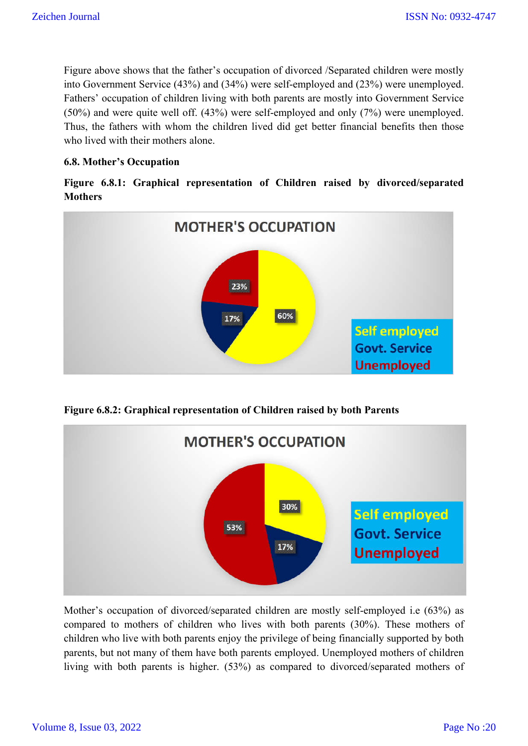Figure above shows that the father's occupation of divorced /Separated children were mostly into Government Service (43%) and (34%) were self-employed and (23%) were unemployed. Fathers' occupation of children living with both parents are mostly into Government Service (50%) and were quite well off. (43%) were self-employed and only (7%) were unemployed. Thus, the fathers with whom the children lived did get better financial benefits then those who lived with their mothers alone.

## **6.8. Mother's Occupation**

**Figure 6.8.1: Graphical representation of Children raised by divorced/separated Mothers**



**Figure 6.8.2: Graphical representation of Children raised by both Parents**



Mother's occupation of divorced/separated children are mostly self-employed i.e (63%) as compared to mothers of children who lives with both parents (30%). These mothers of children who live with both parents enjoy the privilege of being financially supported by both parents, but not many of them have both parents employed. Unemployed mothers of children living with both parents is higher. (53%) as compared to divorced/separated mothers of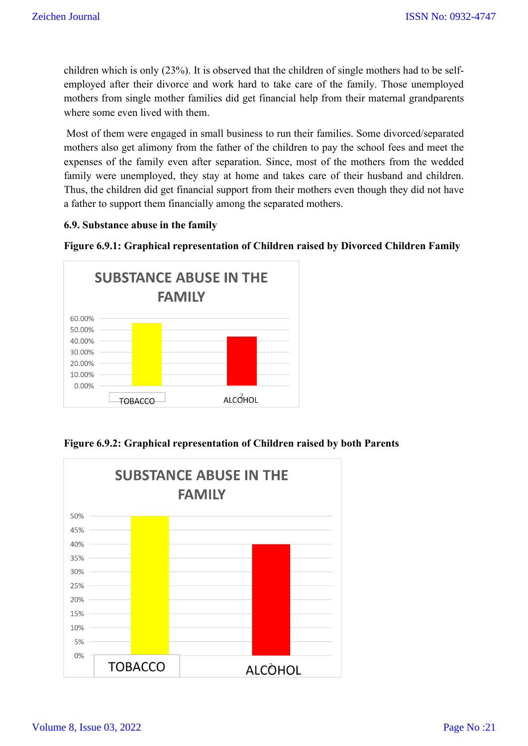children which is only (23%). It is observed that the children of single mothers had to be selfemployed after their divorce and work hard to take care of the family. Those unemployed mothers from single mother families did get financial help from their maternal grandparents where some even lived with them.

Most of them were engaged in small business to run their families. Some divorced/separated mothers also get alimony from the father of the children to pay the school fees and meet the expenses of the family even after separation. Since, most of the mothers from the wedded family were unemployed, they stay at home and takes care of their husband and children. Thus, the children did get financial support from their mothers even though they did not have a father to support them financially among the separated mothers.

### **6.9. Substance abuse in the family**





**Figure 6.9.2: Graphical representation of Children raised by both Parents**

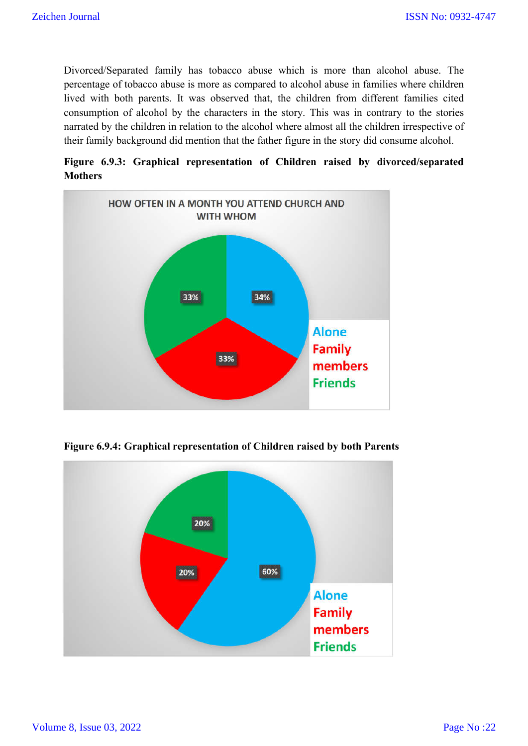Divorced/Separated family has tobacco abuse which is more than alcohol abuse. The percentage of tobacco abuse is more as compared to alcohol abuse in families where children lived with both parents. It was observed that, the children from different families cited consumption of alcohol by the characters in the story. This was in contrary to the stories narrated by the children in relation to the alcohol where almost all the children irrespective of their family background did mention that the father figure in the story did consume alcohol.

**Figure 6.9.3: Graphical representation of Children raised by divorced/separated Mothers**



**Figure 6.9.4: Graphical representation of Children raised by both Parents**

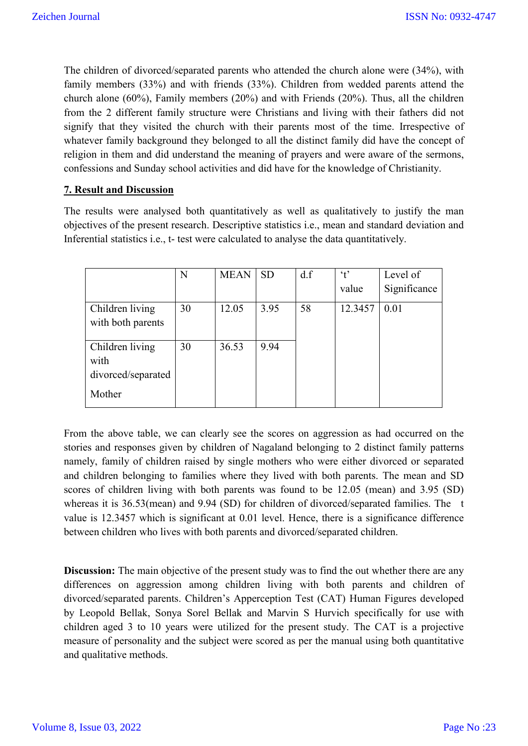The children of divorced/separated parents who attended the church alone were (34%), with family members (33%) and with friends (33%). Children from wedded parents attend the church alone (60%), Family members (20%) and with Friends (20%). Thus, all the children from the 2 different family structure were Christians and living with their fathers did not signify that they visited the church with their parents most of the time. Irrespective of whatever family background they belonged to all the distinct family did have the concept of religion in them and did understand the meaning of prayers and were aware of the sermons, confessions and Sunday school activities and did have for the knowledge of Christianity.

## **7. Result and Discussion**

The results were analysed both quantitatively as well as qualitatively to justify the man objectives of the present research. Descriptive statistics i.e., mean and standard deviation and Inferential statistics i.e., t- test were calculated to analyse the data quantitatively.

|                    | N  | <b>MEAN</b> | <b>SD</b> | d.f | $\cdot t$ | Level of     |
|--------------------|----|-------------|-----------|-----|-----------|--------------|
|                    |    |             |           |     | value     | Significance |
| Children living    | 30 | 12.05       | 3.95      | 58  | 12.3457   | 0.01         |
| with both parents  |    |             |           |     |           |              |
| Children living    | 30 | 36.53       | 9.94      |     |           |              |
| with               |    |             |           |     |           |              |
| divorced/separated |    |             |           |     |           |              |
| Mother             |    |             |           |     |           |              |

From the above table, we can clearly see the scores on aggression as had occurred on the stories and responses given by children of Nagaland belonging to 2 distinct family patterns namely, family of children raised by single mothers who were either divorced or separated and children belonging to families where they lived with both parents. The mean and SD scores of children living with both parents was found to be 12.05 (mean) and 3.95 (SD) whereas it is 36.53(mean) and 9.94 (SD) for children of divorced/separated families. The t value is 12.3457 which is significant at 0.01 level. Hence, there is a significance difference between children who lives with both parents and divorced/separated children.

**Discussion:** The main objective of the present study was to find the out whether there are any differences on aggression among children living with both parents and children of divorced/separated parents. Children's Apperception Test (CAT) Human Figures developed by Leopold Bellak, Sonya Sorel Bellak and Marvin S Hurvich specifically for use with children aged 3 to 10 years were utilized for the present study. The CAT is a projective measure of personality and the subject were scored as per the manual using both quantitative and qualitative methods.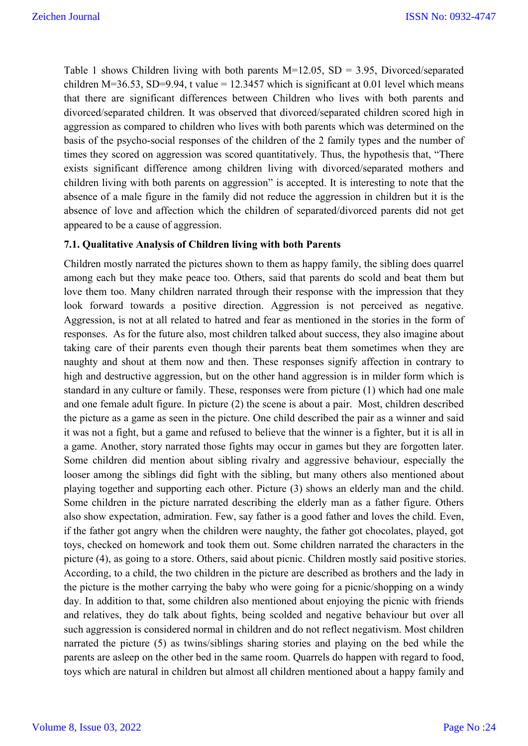Table 1 shows Children living with both parents  $M=12.05$ ,  $SD = 3.95$ , Divorced/separated children M=36.53, SD=9.94, t value = 12.3457 which is significant at 0.01 level which means that there are significant differences between Children who lives with both parents and divorced/separated children. It was observed that divorced/separated children scored high in aggression as compared to children who lives with both parents which was determined on the basis of the psycho-social responses of the children of the 2 family types and the number of times they scored on aggression was scored quantitatively. Thus, the hypothesis that, "There exists significant difference among children living with divorced/separated mothers and children living with both parents on aggression" is accepted. It is interesting to note that the absence of a male figure in the family did not reduce the aggression in children but it is the absence of love and affection which the children of separated/divorced parents did not get appeared to be a cause of aggression.

### **7.1. Qualitative Analysis of Children living with both Parents**

Children mostly narrated the pictures shown to them as happy family, the sibling does quarrel among each but they make peace too. Others, said that parents do scold and beat them but love them too. Many children narrated through their response with the impression that they look forward towards a positive direction. Aggression is not perceived as negative. Aggression, is not at all related to hatred and fear as mentioned in the stories in the form of responses. As for the future also, most children talked about success, they also imagine about taking care of their parents even though their parents beat them sometimes when they are naughty and shout at them now and then. These responses signify affection in contrary to high and destructive aggression, but on the other hand aggression is in milder form which is standard in any culture or family. These, responses were from picture (1) which had one male and one female adult figure. In picture (2) the scene is about a pair. Most, children described the picture as a game as seen in the picture. One child described the pair as a winner and said it was not a fight, but a game and refused to believe that the winner is a fighter, but it is all in a game. Another, story narrated those fights may occur in games but they are forgotten later. Some children did mention about sibling rivalry and aggressive behaviour, especially the looser among the siblings did fight with the sibling, but many others also mentioned about playing together and supporting each other. Picture (3) shows an elderly man and the child. Some children in the picture narrated describing the elderly man as a father figure. Others also show expectation, admiration. Few, say father is a good father and loves the child. Even, if the father got angry when the children were naughty, the father got chocolates, played, got toys, checked on homework and took them out. Some children narrated the characters in the picture (4), as going to a store. Others, said about picnic. Children mostly said positive stories. According, to a child, the two children in the picture are described as brothers and the lady in the picture is the mother carrying the baby who were going for a picnic/shopping on a windy day. In addition to that, some children also mentioned about enjoying the picnic with friends and relatives, they do talk about fights, being scolded and negative behaviour but over all such aggression is considered normal in children and do not reflect negativism. Most children narrated the picture (5) as twins/siblings sharing stories and playing on the bed while the parents are asleep on the other bed in the same room. Quarrels do happen with regard to food, toys which are natural in children but almost all children mentioned about a happy family and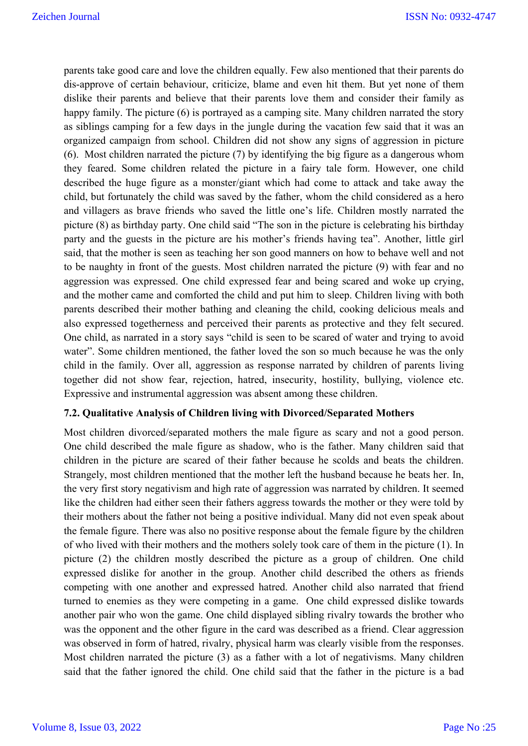parents take good care and love the children equally. Few also mentioned that their parents do dis-approve of certain behaviour, criticize, blame and even hit them. But yet none of them dislike their parents and believe that their parents love them and consider their family as happy family. The picture (6) is portrayed as a camping site. Many children narrated the story as siblings camping for a few days in the jungle during the vacation few said that it was an organized campaign from school. Children did not show any signs of aggression in picture (6). Most children narrated the picture (7) by identifying the big figure as a dangerous whom they feared. Some children related the picture in a fairy tale form. However, one child described the huge figure as a monster/giant which had come to attack and take away the child, but fortunately the child was saved by the father, whom the child considered as a hero and villagers as brave friends who saved the little one's life. Children mostly narrated the picture (8) as birthday party. One child said "The son in the picture is celebrating his birthday party and the guests in the picture are his mother's friends having tea". Another, little girl said, that the mother is seen as teaching her son good manners on how to behave well and not to be naughty in front of the guests. Most children narrated the picture (9) with fear and no aggression was expressed. One child expressed fear and being scared and woke up crying, and the mother came and comforted the child and put him to sleep. Children living with both parents described their mother bathing and cleaning the child, cooking delicious meals and also expressed togetherness and perceived their parents as protective and they felt secured. One child, as narrated in a story says "child is seen to be scared of water and trying to avoid water". Some children mentioned, the father loved the son so much because he was the only child in the family. Over all, aggression as response narrated by children of parents living together did not show fear, rejection, hatred, insecurity, hostility, bullying, violence etc. Expressive and instrumental aggression was absent among these children.

### **7.2. Qualitative Analysis of Children living with Divorced/Separated Mothers**

Most children divorced/separated mothers the male figure as scary and not a good person. One child described the male figure as shadow, who is the father. Many children said that children in the picture are scared of their father because he scolds and beats the children. Strangely, most children mentioned that the mother left the husband because he beats her. In, the very first story negativism and high rate of aggression was narrated by children. It seemed like the children had either seen their fathers aggress towards the mother or they were told by their mothers about the father not being a positive individual. Many did not even speak about the female figure. There was also no positive response about the female figure by the children of who lived with their mothers and the mothers solely took care of them in the picture (1). In picture (2) the children mostly described the picture as a group of children. One child expressed dislike for another in the group. Another child described the others as friends competing with one another and expressed hatred. Another child also narrated that friend turned to enemies as they were competing in a game. One child expressed dislike towards another pair who won the game. One child displayed sibling rivalry towards the brother who was the opponent and the other figure in the card was described as a friend. Clear aggression was observed in form of hatred, rivalry, physical harm was clearly visible from the responses. Most children narrated the picture (3) as a father with a lot of negativisms. Many children said that the father ignored the child. One child said that the father in the picture is a bad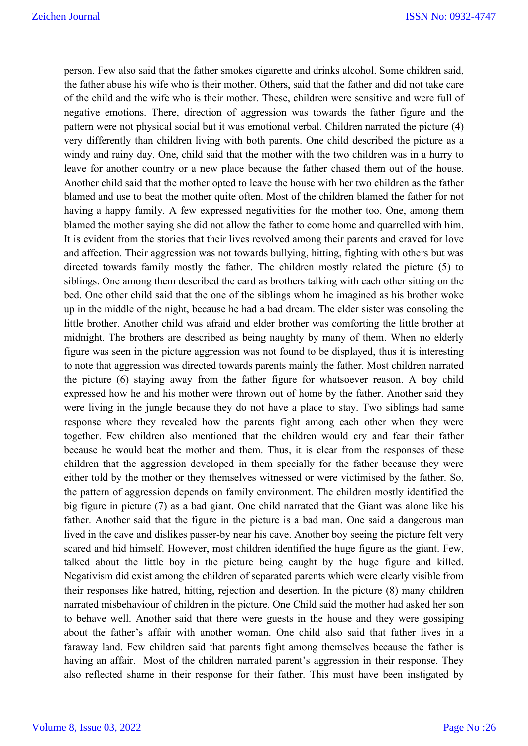person. Few also said that the father smokes cigarette and drinks alcohol. Some children said, the father abuse his wife who is their mother. Others, said that the father and did not take care of the child and the wife who is their mother. These, children were sensitive and were full of negative emotions. There, direction of aggression was towards the father figure and the pattern were not physical social but it was emotional verbal. Children narrated the picture (4) very differently than children living with both parents. One child described the picture as a windy and rainy day. One, child said that the mother with the two children was in a hurry to leave for another country or a new place because the father chased them out of the house. Another child said that the mother opted to leave the house with her two children as the father blamed and use to beat the mother quite often. Most of the children blamed the father for not having a happy family. A few expressed negativities for the mother too, One, among them blamed the mother saying she did not allow the father to come home and quarrelled with him. It is evident from the stories that their lives revolved among their parents and craved for love and affection. Their aggression was not towards bullying, hitting, fighting with others but was directed towards family mostly the father. The children mostly related the picture (5) to siblings. One among them described the card as brothers talking with each other sitting on the bed. One other child said that the one of the siblings whom he imagined as his brother woke up in the middle of the night, because he had a bad dream. The elder sister was consoling the little brother. Another child was afraid and elder brother was comforting the little brother at midnight. The brothers are described as being naughty by many of them. When no elderly figure was seen in the picture aggression was not found to be displayed, thus it is interesting to note that aggression was directed towards parents mainly the father. Most children narrated the picture (6) staying away from the father figure for whatsoever reason. A boy child expressed how he and his mother were thrown out of home by the father. Another said they were living in the jungle because they do not have a place to stay. Two siblings had same response where they revealed how the parents fight among each other when they were together. Few children also mentioned that the children would cry and fear their father because he would beat the mother and them. Thus, it is clear from the responses of these children that the aggression developed in them specially for the father because they were either told by the mother or they themselves witnessed or were victimised by the father. So, the pattern of aggression depends on family environment. The children mostly identified the big figure in picture (7) as a bad giant. One child narrated that the Giant was alone like his father. Another said that the figure in the picture is a bad man. One said a dangerous man lived in the cave and dislikes passer-by near his cave. Another boy seeing the picture felt very scared and hid himself. However, most children identified the huge figure as the giant. Few, talked about the little boy in the picture being caught by the huge figure and killed. Negativism did exist among the children of separated parents which were clearly visible from their responses like hatred, hitting, rejection and desertion. In the picture (8) many children narrated misbehaviour of children in the picture. One Child said the mother had asked her son to behave well. Another said that there were guests in the house and they were gossiping about the father's affair with another woman. One child also said that father lives in a faraway land. Few children said that parents fight among themselves because the father is having an affair. Most of the children narrated parent's aggression in their response. They also reflected shame in their response for their father. This must have been instigated by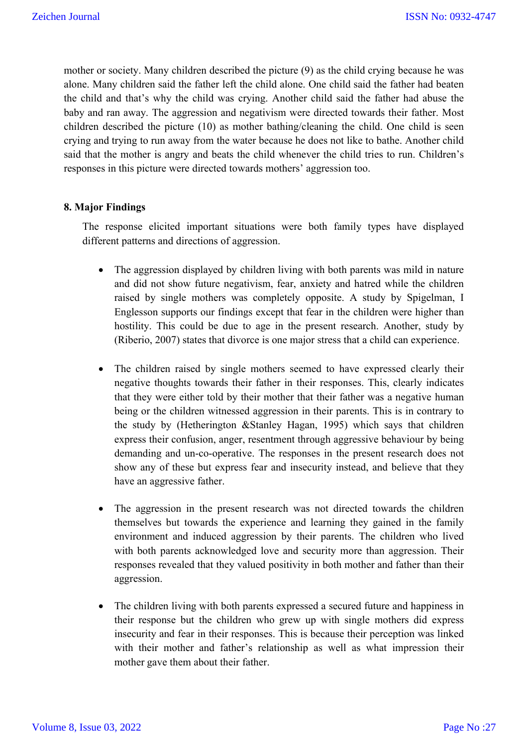mother or society. Many children described the picture (9) as the child crying because he was alone. Many children said the father left the child alone. One child said the father had beaten the child and that's why the child was crying. Another child said the father had abuse the baby and ran away. The aggression and negativism were directed towards their father. Most children described the picture (10) as mother bathing/cleaning the child. One child is seen crying and trying to run away from the water because he does not like to bathe. Another child said that the mother is angry and beats the child whenever the child tries to run. Children's responses in this picture were directed towards mothers' aggression too.

## **8. Major Findings**

The response elicited important situations were both family types have displayed different patterns and directions of aggression.

- The aggression displayed by children living with both parents was mild in nature and did not show future negativism, fear, anxiety and hatred while the children raised by single mothers was completely opposite. A study by Spigelman, I Englesson supports our findings except that fear in the children were higher than hostility. This could be due to age in the present research. Another, study by (Riberio, 2007) states that divorce is one major stress that a child can experience.
- The children raised by single mothers seemed to have expressed clearly their negative thoughts towards their father in their responses. This, clearly indicates that they were either told by their mother that their father was a negative human being or the children witnessed aggression in their parents. This is in contrary to the study by (Hetherington &Stanley Hagan, 1995) which says that children express their confusion, anger, resentment through aggressive behaviour by being demanding and un-co-operative. The responses in the present research does not show any of these but express fear and insecurity instead, and believe that they have an aggressive father.
- The aggression in the present research was not directed towards the children themselves but towards the experience and learning they gained in the family environment and induced aggression by their parents. The children who lived with both parents acknowledged love and security more than aggression. Their responses revealed that they valued positivity in both mother and father than their aggression.
- The children living with both parents expressed a secured future and happiness in their response but the children who grew up with single mothers did express insecurity and fear in their responses. This is because their perception was linked with their mother and father's relationship as well as what impression their mother gave them about their father.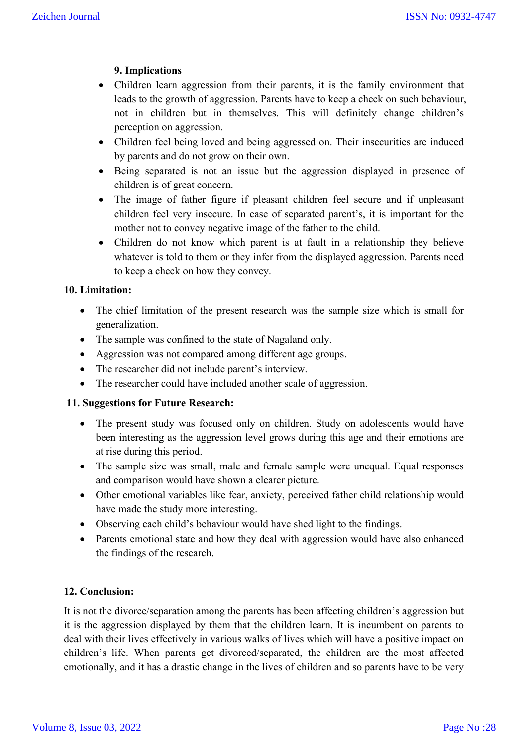## **9. Implications**

- Children learn aggression from their parents, it is the family environment that leads to the growth of aggression. Parents have to keep a check on such behaviour, not in children but in themselves. This will definitely change children's perception on aggression.
- Children feel being loved and being aggressed on. Their insecurities are induced by parents and do not grow on their own.
- Being separated is not an issue but the aggression displayed in presence of children is of great concern.
- The image of father figure if pleasant children feel secure and if unpleasant children feel very insecure. In case of separated parent's, it is important for the mother not to convey negative image of the father to the child.
- Children do not know which parent is at fault in a relationship they believe whatever is told to them or they infer from the displayed aggression. Parents need to keep a check on how they convey.

## **10. Limitation:**

- The chief limitation of the present research was the sample size which is small for generalization.
- The sample was confined to the state of Nagaland only.
- Aggression was not compared among different age groups.
- The researcher did not include parent's interview.
- The researcher could have included another scale of aggression.

### **11. Suggestions for Future Research:**

- The present study was focused only on children. Study on adolescents would have been interesting as the aggression level grows during this age and their emotions are at rise during this period.
- The sample size was small, male and female sample were unequal. Equal responses and comparison would have shown a clearer picture.
- Other emotional variables like fear, anxiety, perceived father child relationship would have made the study more interesting.
- Observing each child's behaviour would have shed light to the findings.
- Parents emotional state and how they deal with aggression would have also enhanced the findings of the research.

### **12. Conclusion:**

It is not the divorce/separation among the parents has been affecting children's aggression but it is the aggression displayed by them that the children learn. It is incumbent on parents to deal with their lives effectively in various walks of lives which will have a positive impact on children's life. When parents get divorced/separated, the children are the most affected emotionally, and it has a drastic change in the lives of children and so parents have to be very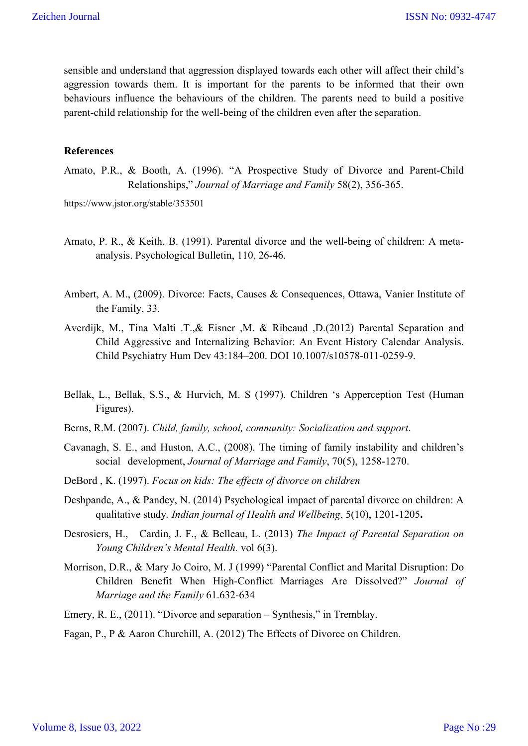sensible and understand that aggression displayed towards each other will affect their child's aggression towards them. It is important for the parents to be informed that their own behaviours influence the behaviours of the children. The parents need to build a positive parent-child relationship for the well-being of the children even after the separation.

#### **References**

Amato, P.R., & Booth, A. (1996). "A Prospective Study of Divorce and Parent-Child Relationships," *Journal of Marriage and Family* 58(2), 356-365.

https://www.jstor.org/stable/353501

- Amato, P. R., & Keith, B. (1991). Parental divorce and the well-being of children: A metaanalysis. Psychological Bulletin, 110, 26-46.
- Ambert, A. M., (2009). Divorce: Facts, Causes & Consequences, Ottawa, Vanier Institute of the Family, 33.
- Averdijk, M., Tina Malti .T.,& Eisner ,M. & Ribeaud ,D.(2012) Parental Separation and Child Aggressive and Internalizing Behavior: An Event History Calendar Analysis. Child Psychiatry Hum Dev 43:184–200. DOI 10.1007/s10578-011-0259-9.
- Bellak, L., Bellak, S.S., & Hurvich, M. S (1997). Children 's Apperception Test (Human Figures).
- Berns, R.M. (2007). *Child, family, school, community: Socialization and support*.
- Cavanagh, S. E., and Huston, A.C., (2008). The timing of family instability and children's social development, *Journal of Marriage and Family*, 70(5), 1258-1270.
- DeBord , K. (1997). *Focus on kids: The effects of divorce on children*
- Deshpande, A., & Pandey, N. (2014) Psychological impact of parental divorce on children: A qualitative study*. Indian journal of Health and Wellbeing*, 5(10), 1201-1205**.**
- Desrosiers, H., Cardin, J. F., & Belleau, L. (2013) *The Impact of Parental Separation on Young Children's Mental Health.* vol 6(3).
- Morrison, D.R., & Mary Jo Coiro, M. J (1999) "Parental Conflict and Marital Disruption: Do Children Benefit When High-Conflict Marriages Are Dissolved?" *Journal of Marriage and the Family* 61.632-634
- Emery, R. E., (2011). "Divorce and separation Synthesis," in Tremblay.

Fagan, P., P & Aaron Churchill, A. (2012) The Effects of Divorce on Children.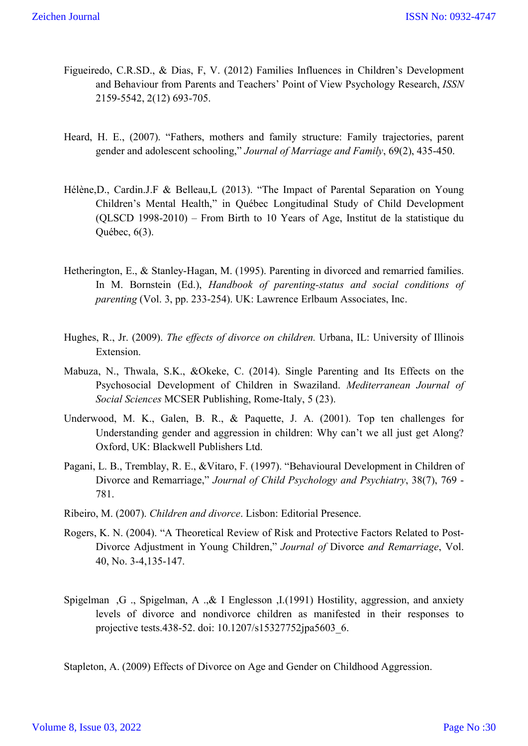- Figueiredo, C.R.SD., & Dias, F, V. (2012) Families Influences in Children's Development and Behaviour from Parents and Teachers' Point of View Psychology Research, *ISSN* 2159-5542, 2(12) 693-705.
- Heard, H. E., (2007). "Fathers, mothers and family structure: Family trajectories, parent gender and adolescent schooling," *Journal of Marriage and Family*, 69(2), 435-450.
- Hélène,D., Cardin.J.F & Belleau,L (2013). "The Impact of Parental Separation on Young Children's Mental Health," in Québec Longitudinal Study of Child Development (QLSCD 1998-2010) – From Birth to 10 Years of Age, Institut de la statistique du Québec, 6(3).
- Hetherington, E., & Stanley-Hagan, M. (1995). Parenting in divorced and remarried families. In M. Bornstein (Ed.), *Handbook of parenting-status and social conditions of parenting* (Vol. 3, pp. 233-254). UK: Lawrence Erlbaum Associates, Inc.
- Hughes, R., Jr. (2009). *The effects of divorce on children.* Urbana, IL: University of Illinois Extension.
- Mabuza, N., Thwala, S.K., &Okeke, C. (2014). Single Parenting and Its Effects on the Psychosocial Development of Children in Swaziland. *Mediterranean Journal of Social Sciences* MCSER Publishing, Rome-Italy, 5 (23).
- Underwood, M. K., Galen, B. R., & Paquette, J. A. (2001). Top ten challenges for Understanding gender and aggression in children: Why can't we all just get Along? Oxford, UK: Blackwell Publishers Ltd.
- Pagani, L. B., Tremblay, R. E., &Vitaro, F. (1997). "Behavioural Development in Children of Divorce and Remarriage," *Journal of Child Psychology and Psychiatry*, 38(7), 769 - 781.
- Ribeiro, M. (2007). *Children and divorce*. Lisbon: Editorial Presence.
- Rogers, K. N. (2004). "A Theoretical Review of Risk and Protective Factors Related to Post-Divorce Adjustment in Young Children," *Journal of* Divorce *and Remarriage*, Vol. 40, No. 3-4,135-147.
- Spigelman ,G ., Spigelman, A .,& I Englesson ,I.(1991) Hostility, aggression, and anxiety levels of divorce and nondivorce children as manifested in their responses to projective tests.438-52. doi: 10.1207/s15327752jpa5603\_6.

Stapleton, A. (2009) Effects of Divorce on Age and Gender on Childhood Aggression.